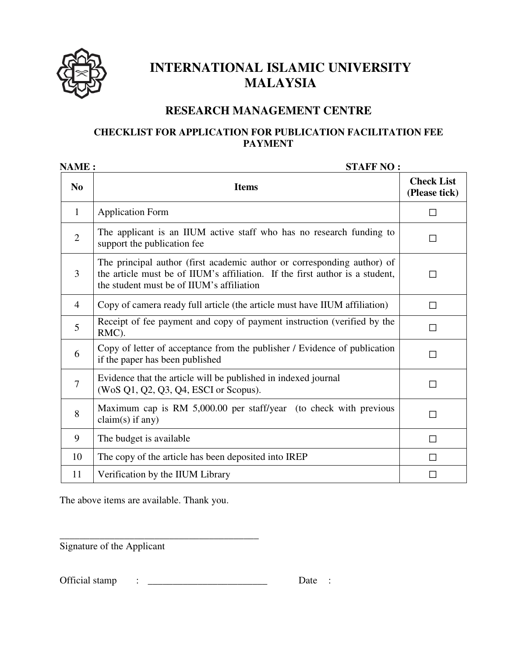

## **INTERNATIONAL ISLAMIC UNIVERSITY MALAYSIA**

## **RESEARCH MANAGEMENT CENTRE**

## **CHECKLIST FOR APPLICATION FOR PUBLICATION FACILITATION FEE PAYMENT**

| NAME:          | <b>STAFF NO:</b>                                                                                                                                                                                     |                                    |
|----------------|------------------------------------------------------------------------------------------------------------------------------------------------------------------------------------------------------|------------------------------------|
| N <sub>0</sub> | <b>Items</b>                                                                                                                                                                                         | <b>Check List</b><br>(Please tick) |
| $\mathbf{1}$   | <b>Application Form</b>                                                                                                                                                                              | $\Box$                             |
| $\overline{2}$ | The applicant is an IIUM active staff who has no research funding to<br>support the publication fee                                                                                                  | П                                  |
| 3              | The principal author (first academic author or corresponding author) of<br>the article must be of IIUM's affiliation. If the first author is a student,<br>the student must be of IIUM's affiliation | П                                  |
| $\overline{4}$ | Copy of camera ready full article (the article must have IIUM affiliation)                                                                                                                           | П                                  |
| 5              | Receipt of fee payment and copy of payment instruction (verified by the<br>RMC).                                                                                                                     | П                                  |
| 6              | Copy of letter of acceptance from the publisher / Evidence of publication<br>if the paper has been published                                                                                         | П                                  |
| $\overline{7}$ | Evidence that the article will be published in indexed journal<br>(WoS Q1, Q2, Q3, Q4, ESCI or Scopus).                                                                                              | П                                  |
| 8              | Maximum cap is RM 5,000.00 per staff/year (to check with previous<br>$claim(s)$ if any)                                                                                                              | П                                  |
| 9              | The budget is available                                                                                                                                                                              | П                                  |
| 10             | The copy of the article has been deposited into IREP                                                                                                                                                 | П                                  |
| 11             | Verification by the IIUM Library                                                                                                                                                                     | $\Box$                             |

The above items are available. Thank you.

\_\_\_\_\_\_\_\_\_\_\_\_\_\_\_\_\_\_\_\_\_\_\_\_\_\_\_\_\_\_\_\_\_\_\_\_\_\_\_\_ Signature of the Applicant

Official stamp : \_\_\_\_\_\_\_\_\_\_\_\_\_\_\_\_\_\_\_\_\_\_\_\_ Date :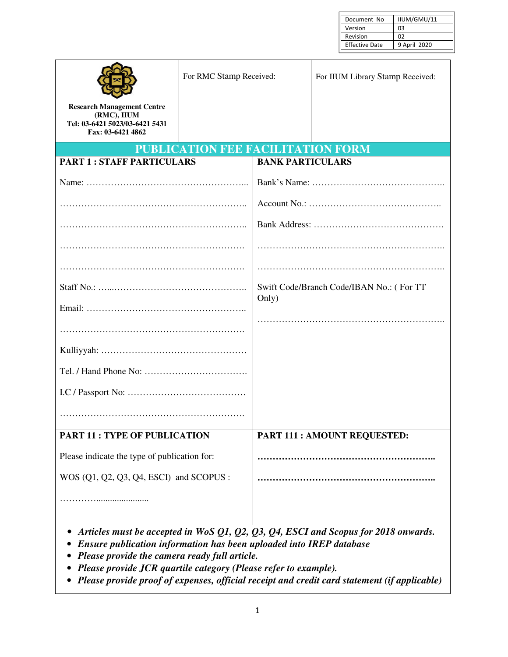| Document No           | IIUM/GMU/11  |
|-----------------------|--------------|
| Version               | OЗ           |
| Revision              | 02           |
| <b>Effective Date</b> | 9 April 2020 |

|                                                                                                         | For RMC Stamp Received:                  |                         | For IIUM Library Stamp Received:         |
|---------------------------------------------------------------------------------------------------------|------------------------------------------|-------------------------|------------------------------------------|
| <b>Research Management Centre</b><br>(RMC), IIUM<br>Tel: 03-6421 5023/03-6421 5431<br>Fax: 03-6421 4862 |                                          |                         |                                          |
|                                                                                                         | <b>PUBLICATION FEE FACILITATION FORM</b> |                         |                                          |
| <b>PART 1: STAFF PARTICULARS</b>                                                                        |                                          | <b>BANK PARTICULARS</b> |                                          |
|                                                                                                         |                                          |                         |                                          |
|                                                                                                         |                                          |                         |                                          |
|                                                                                                         |                                          |                         |                                          |
|                                                                                                         |                                          |                         |                                          |
|                                                                                                         |                                          |                         |                                          |
|                                                                                                         |                                          | Only)                   | Swift Code/Branch Code/IBAN No.: (For TT |
|                                                                                                         |                                          |                         |                                          |
|                                                                                                         |                                          |                         |                                          |
|                                                                                                         |                                          |                         |                                          |
|                                                                                                         |                                          |                         |                                          |
|                                                                                                         |                                          |                         |                                          |
|                                                                                                         |                                          |                         |                                          |
| <b>PART 11: TYPE OF PUBLICATION</b>                                                                     |                                          |                         | <b>PART 111: AMOUNT REQUESTED:</b>       |
| Please indicate the type of publication for:                                                            |                                          |                         |                                          |
| WOS (Q1, Q2, Q3, Q4, ESCI) and SCOPUS :                                                                 |                                          |                         |                                          |
|                                                                                                         |                                          |                         |                                          |

- *Articles must be accepted in WoS Q1, Q2, Q3, Q4, ESCI and Scopus for 2018 onwards.*
- *Ensure publication information has been uploaded into IREP database*
- *Please provide the camera ready full article.*
- *Please provide JCR quartile category (Please refer to example).*
- *Please provide proof of expenses, official receipt and credit card statement (if applicable)*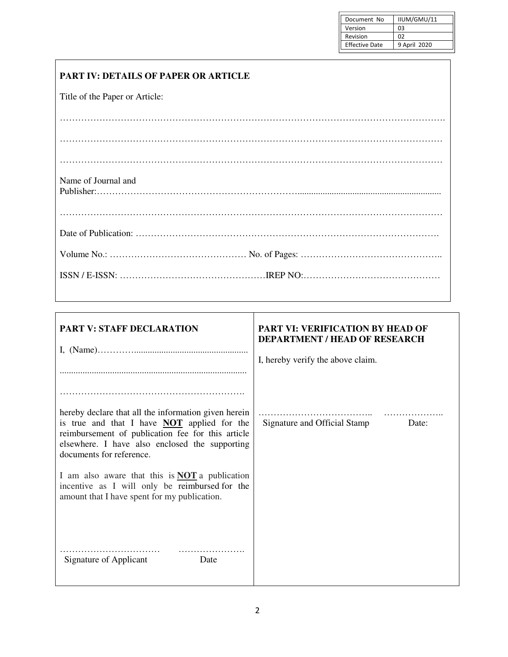| Document No           | IIUM/GMU/11    |
|-----------------------|----------------|
| Version               | OЗ             |
| Revision              | O <sub>2</sub> |
| <b>Effective Date</b> | 9 April 2020   |
|                       |                |

## **PART IV: DETAILS OF PAPER OR ARTICLE**

Title of the Paper or Article:

| Name of Journal and |  |
|---------------------|--|
|                     |  |
|                     |  |
|                     |  |
|                     |  |

| <b>PART V: STAFF DECLARATION</b>                                                                                                                                                                                                              | <b>PART VI: VERIFICATION BY HEAD OF</b><br><b>DEPARTMENT / HEAD OF RESEARCH</b><br>I, hereby verify the above claim. |
|-----------------------------------------------------------------------------------------------------------------------------------------------------------------------------------------------------------------------------------------------|----------------------------------------------------------------------------------------------------------------------|
| hereby declare that all the information given herein<br>is true and that I have <b>NOT</b> applied for the<br>reimbursement of publication fee for this article<br>elsewhere. I have also enclosed the supporting<br>documents for reference. | Signature and Official Stamp Date:                                                                                   |
| I am also aware that this is $NOT$ a publication<br>incentive as I will only be reimbursed for the<br>amount that I have spent for my publication.                                                                                            |                                                                                                                      |
| Signature of Applicant<br>Date                                                                                                                                                                                                                |                                                                                                                      |